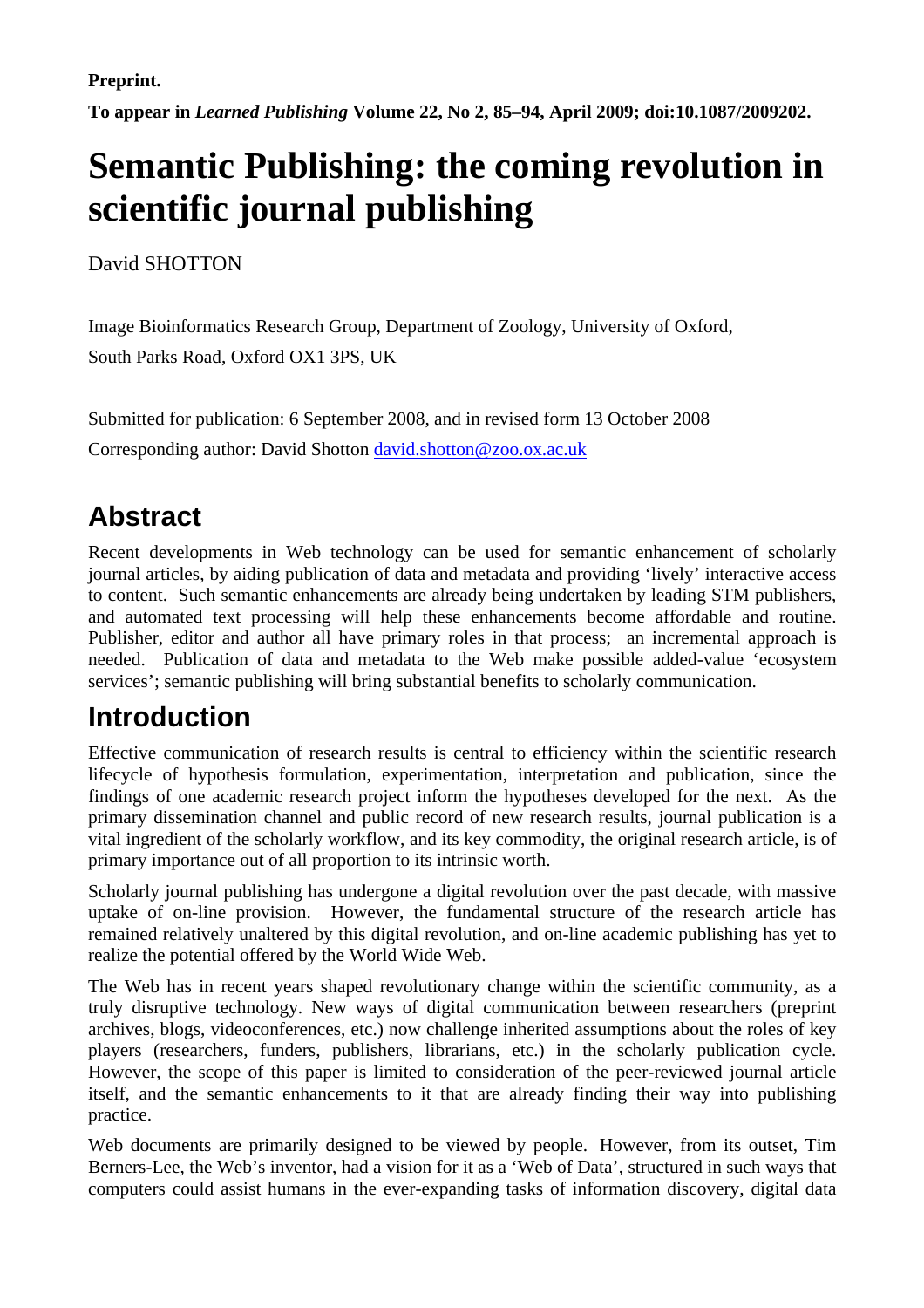**Preprint.** 

**To appear in** *Learned Publishing* **Volume 22, No 2, 85–94, April 2009; doi:10.1087/2009202.** 

# **Semantic Publishing: the coming revolution in scientific journal publishing**

David SHOTTON

Image Bioinformatics Research Group, Department of Zoology, University of Oxford, South Parks Road, Oxford OX1 3PS, UK

Submitted for publication: 6 September 2008, and in revised form 13 October 2008 Corresponding author: David Shotton david.shotton@zoo.ox.ac.uk

# **Abstract**

Recent developments in Web technology can be used for semantic enhancement of scholarly journal articles, by aiding publication of data and metadata and providing 'lively' interactive access to content. Such semantic enhancements are already being undertaken by leading STM publishers, and automated text processing will help these enhancements become affordable and routine. Publisher, editor and author all have primary roles in that process; an incremental approach is needed. Publication of data and metadata to the Web make possible added-value 'ecosystem services'; semantic publishing will bring substantial benefits to scholarly communication.

# **Introduction**

Effective communication of research results is central to efficiency within the scientific research lifecycle of hypothesis formulation, experimentation, interpretation and publication, since the findings of one academic research project inform the hypotheses developed for the next. As the primary dissemination channel and public record of new research results, journal publication is a vital ingredient of the scholarly workflow, and its key commodity, the original research article, is of primary importance out of all proportion to its intrinsic worth.

Scholarly journal publishing has undergone a digital revolution over the past decade, with massive uptake of on-line provision. However, the fundamental structure of the research article has remained relatively unaltered by this digital revolution, and on-line academic publishing has yet to realize the potential offered by the World Wide Web.

The Web has in recent years shaped revolutionary change within the scientific community, as a truly disruptive technology. New ways of digital communication between researchers (preprint archives, blogs, videoconferences, etc.) now challenge inherited assumptions about the roles of key players (researchers, funders, publishers, librarians, etc.) in the scholarly publication cycle. However, the scope of this paper is limited to consideration of the peer-reviewed journal article itself, and the semantic enhancements to it that are already finding their way into publishing practice.

Web documents are primarily designed to be viewed by people. However, from its outset, Tim Berners-Lee, the Web's inventor, had a vision for it as a 'Web of Data', structured in such ways that computers could assist humans in the ever-expanding tasks of information discovery, digital data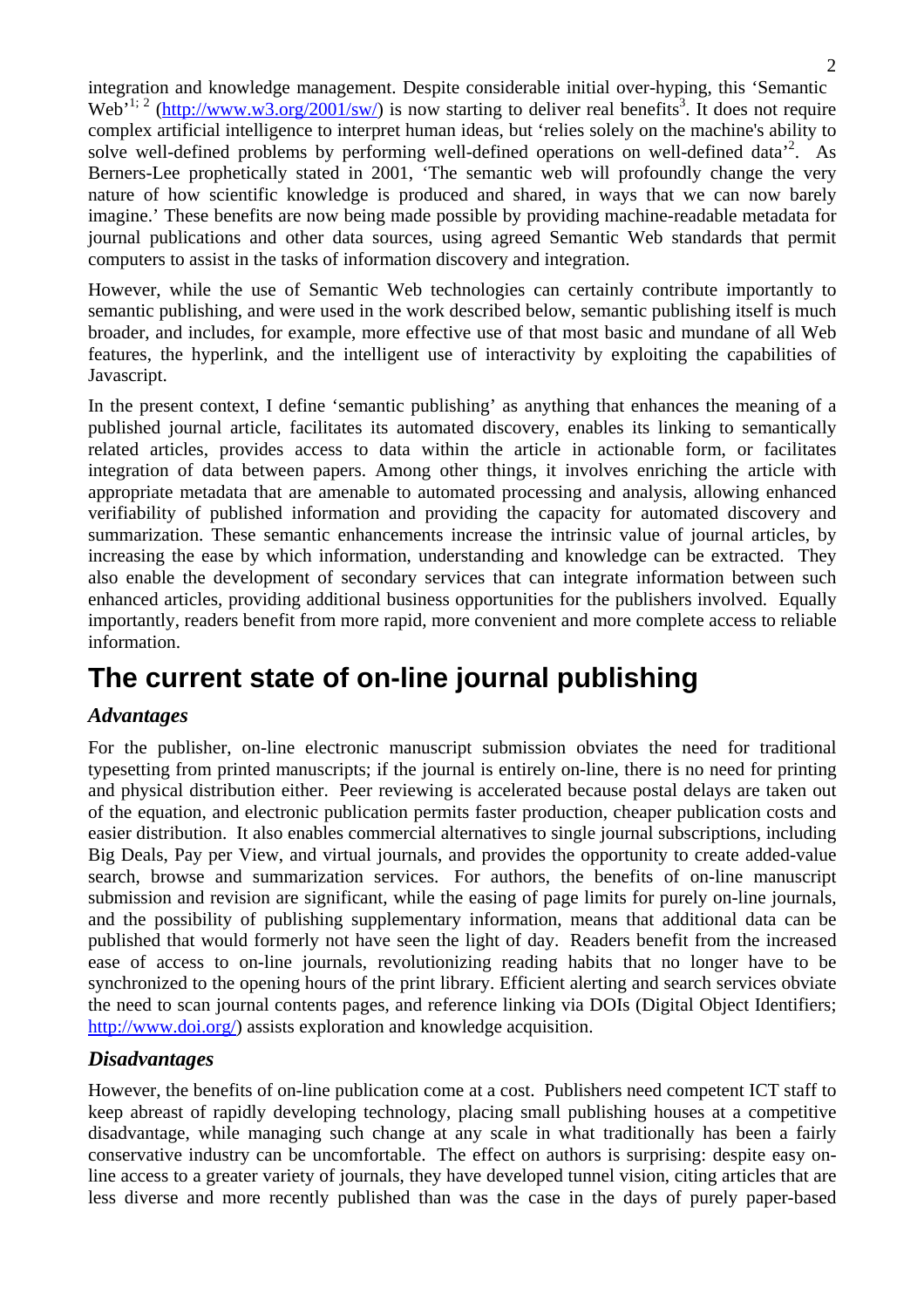integration and knowledge management. Despite considerable initial over-hyping, this 'Semantic Web<sup>, 1; 2</sup> (http://www.w3.org/2001/sw/) is now starting to deliver real benefits<sup>3</sup>. It does not require complex artificial intelligence to interpret human ideas, but 'relies solely on the machine's ability to solve well-defined problems by performing well-defined operations on well-defined data<sup>2</sup>. As Berners-Lee prophetically stated in 2001, 'The semantic web will profoundly change the very nature of how scientific knowledge is produced and shared, in ways that we can now barely imagine.' These benefits are now being made possible by providing machine-readable metadata for journal publications and other data sources, using agreed Semantic Web standards that permit computers to assist in the tasks of information discovery and integration.

However, while the use of Semantic Web technologies can certainly contribute importantly to semantic publishing, and were used in the work described below, semantic publishing itself is much broader, and includes, for example, more effective use of that most basic and mundane of all Web features, the hyperlink, and the intelligent use of interactivity by exploiting the capabilities of Javascript.

In the present context, I define 'semantic publishing' as anything that enhances the meaning of a published journal article, facilitates its automated discovery, enables its linking to semantically related articles, provides access to data within the article in actionable form, or facilitates integration of data between papers. Among other things, it involves enriching the article with appropriate metadata that are amenable to automated processing and analysis, allowing enhanced verifiability of published information and providing the capacity for automated discovery and summarization. These semantic enhancements increase the intrinsic value of journal articles, by increasing the ease by which information, understanding and knowledge can be extracted. They also enable the development of secondary services that can integrate information between such enhanced articles, providing additional business opportunities for the publishers involved. Equally importantly, readers benefit from more rapid, more convenient and more complete access to reliable information.

# **The current state of on-line journal publishing**

### *Advantages*

For the publisher, on-line electronic manuscript submission obviates the need for traditional typesetting from printed manuscripts; if the journal is entirely on-line, there is no need for printing and physical distribution either. Peer reviewing is accelerated because postal delays are taken out of the equation, and electronic publication permits faster production, cheaper publication costs and easier distribution. It also enables commercial alternatives to single journal subscriptions, including Big Deals, Pay per View, and virtual journals, and provides the opportunity to create added-value search, browse and summarization services. For authors, the benefits of on-line manuscript submission and revision are significant, while the easing of page limits for purely on-line journals, and the possibility of publishing supplementary information, means that additional data can be published that would formerly not have seen the light of day. Readers benefit from the increased ease of access to on-line journals, revolutionizing reading habits that no longer have to be synchronized to the opening hours of the print library. Efficient alerting and search services obviate the need to scan journal contents pages, and reference linking via DOIs (Digital Object Identifiers; http://www.doi.org/) assists exploration and knowledge acquisition.

### *Disadvantages*

However, the benefits of on-line publication come at a cost. Publishers need competent ICT staff to keep abreast of rapidly developing technology, placing small publishing houses at a competitive disadvantage, while managing such change at any scale in what traditionally has been a fairly conservative industry can be uncomfortable. The effect on authors is surprising: despite easy online access to a greater variety of journals, they have developed tunnel vision, citing articles that are less diverse and more recently published than was the case in the days of purely paper-based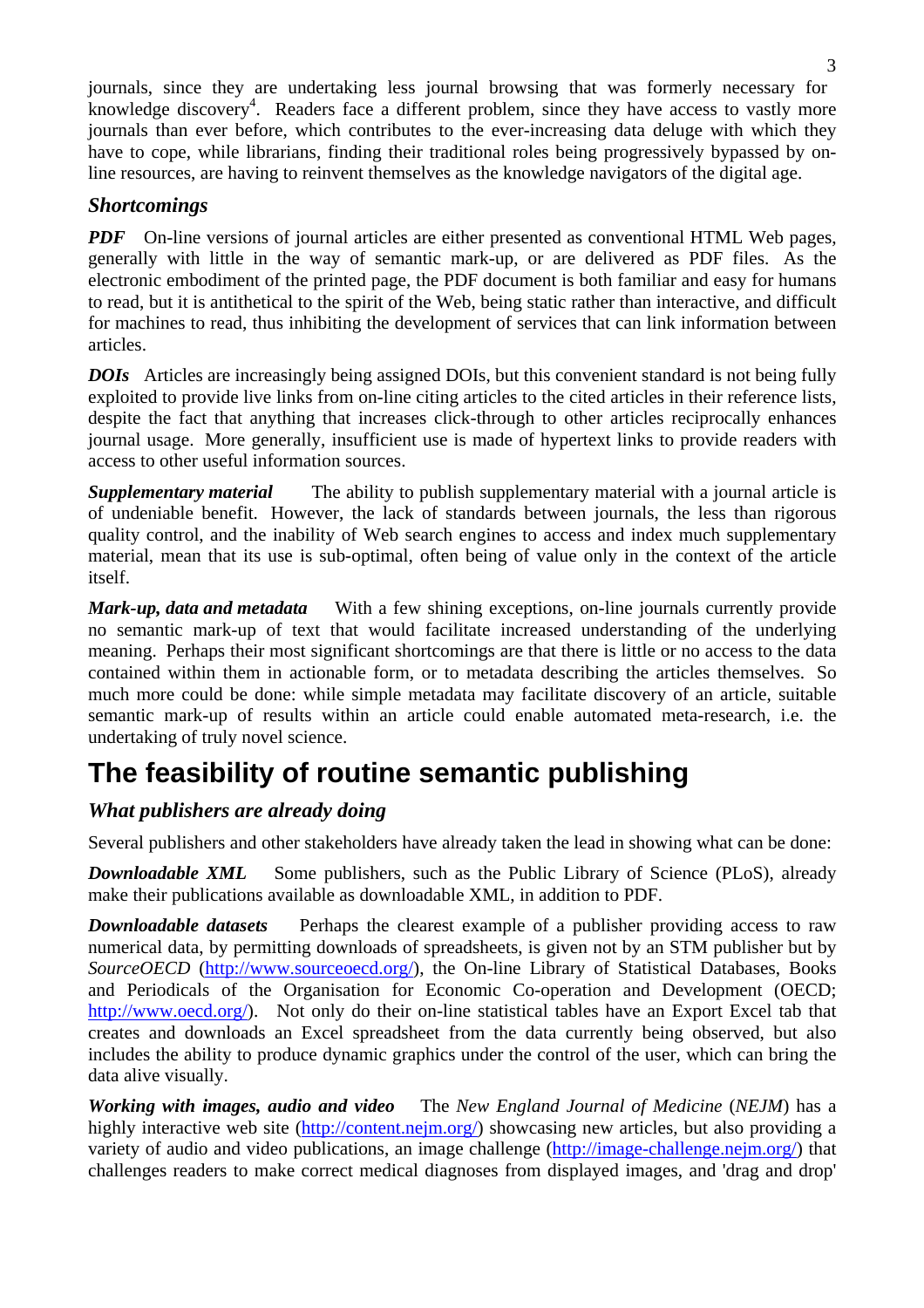journals, since they are undertaking less journal browsing that was formerly necessary for knowledge discovery<sup>4</sup>. Readers face a different problem, since they have access to vastly more journals than ever before, which contributes to the ever-increasing data deluge with which they have to cope, while librarians, finding their traditional roles being progressively bypassed by online resources, are having to reinvent themselves as the knowledge navigators of the digital age.

### *Shortcomings*

*PDF* On-line versions of journal articles are either presented as conventional HTML Web pages, generally with little in the way of semantic mark-up, or are delivered as PDF files. As the electronic embodiment of the printed page, the PDF document is both familiar and easy for humans to read, but it is antithetical to the spirit of the Web, being static rather than interactive, and difficult for machines to read, thus inhibiting the development of services that can link information between articles.

*DOIs* Articles are increasingly being assigned DOIs, but this convenient standard is not being fully exploited to provide live links from on-line citing articles to the cited articles in their reference lists, despite the fact that anything that increases click-through to other articles reciprocally enhances journal usage. More generally, insufficient use is made of hypertext links to provide readers with access to other useful information sources.

**Supplementary material** The ability to publish supplementary material with a journal article is of undeniable benefit. However, the lack of standards between journals, the less than rigorous quality control, and the inability of Web search engines to access and index much supplementary material, mean that its use is sub-optimal, often being of value only in the context of the article itself.

*Mark-up, data and metadata* With a few shining exceptions, on-line journals currently provide no semantic mark-up of text that would facilitate increased understanding of the underlying meaning. Perhaps their most significant shortcomings are that there is little or no access to the data contained within them in actionable form, or to metadata describing the articles themselves. So much more could be done: while simple metadata may facilitate discovery of an article, suitable semantic mark-up of results within an article could enable automated meta-research, i.e. the undertaking of truly novel science.

# **The feasibility of routine semantic publishing**

## *What publishers are already doing*

Several publishers and other stakeholders have already taken the lead in showing what can be done:

*Downloadable XML* Some publishers, such as the Public Library of Science (PLoS), already make their publications available as downloadable XML, in addition to PDF.

*Downloadable datasets* Perhaps the clearest example of a publisher providing access to raw numerical data, by permitting downloads of spreadsheets, is given not by an STM publisher but by *SourceOECD* (http://www.sourceoecd.org/), the On-line Library of Statistical Databases, Books and Periodicals of the Organisation for Economic Co-operation and Development (OECD; http://www.oecd.org/). Not only do their on-line statistical tables have an Export Excel tab that creates and downloads an Excel spreadsheet from the data currently being observed, but also includes the ability to produce dynamic graphics under the control of the user, which can bring the data alive visually.

*Working with images, audio and video* The *New England Journal of Medicine* (*NEJM*) has a highly interactive web site (http://content.nejm.org/) showcasing new articles, but also providing a variety of audio and video publications, an image challenge (http://image-challenge.nejm.org/) that challenges readers to make correct medical diagnoses from displayed images, and 'drag and drop'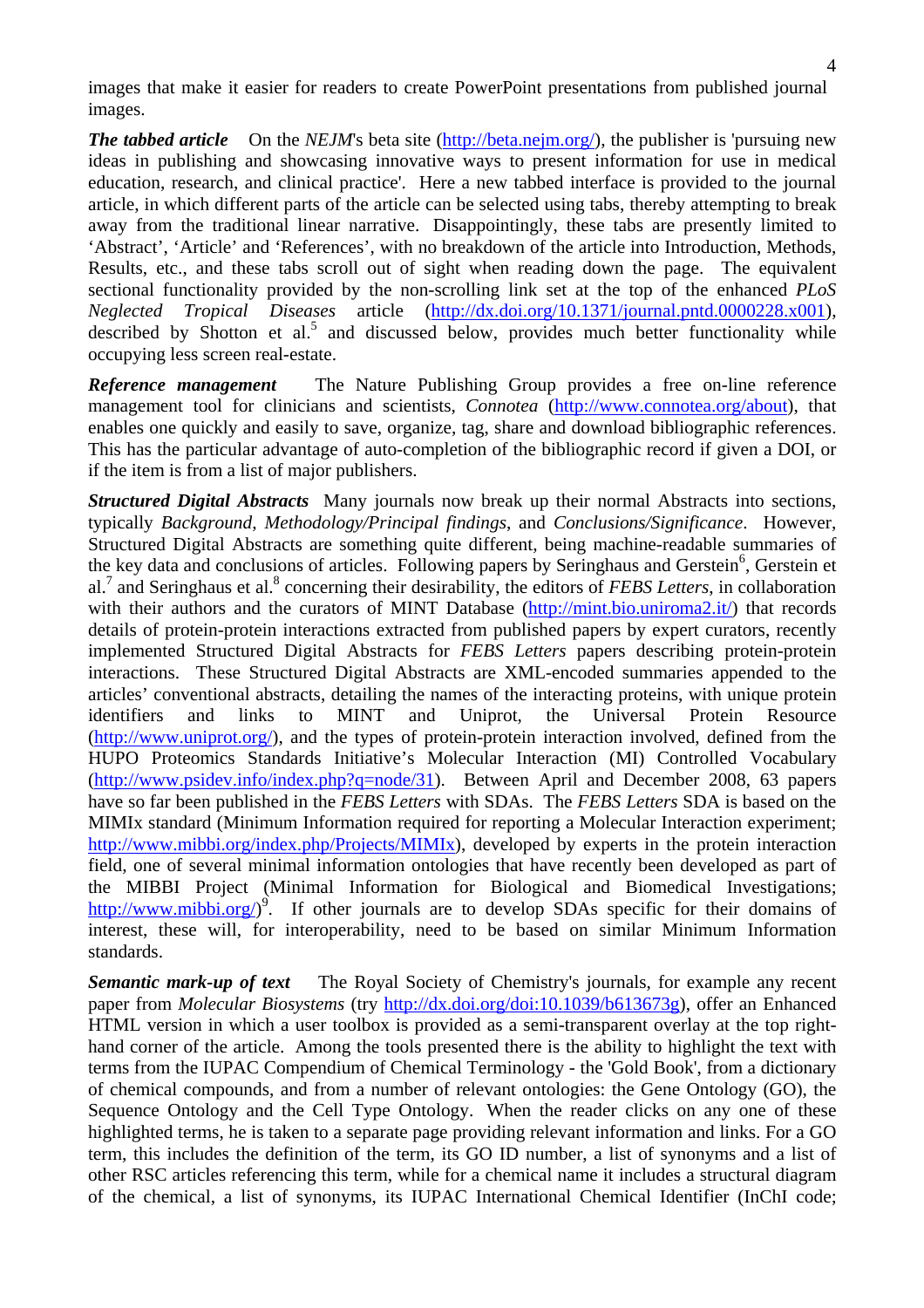images that make it easier for readers to create PowerPoint presentations from published journal images.

*The tabbed article* On the *NEJM*'s beta site (http://beta.nejm.org/), the publisher is 'pursuing new ideas in publishing and showcasing innovative ways to present information for use in medical education, research, and clinical practice'. Here a new tabbed interface is provided to the journal article, in which different parts of the article can be selected using tabs, thereby attempting to break away from the traditional linear narrative. Disappointingly, these tabs are presently limited to 'Abstract', 'Article' and 'References', with no breakdown of the article into Introduction, Methods, Results, etc., and these tabs scroll out of sight when reading down the page. The equivalent sectional functionality provided by the non-scrolling link set at the top of the enhanced *PLoS Neglected Tropical Diseases* article (http://dx.doi.org/10.1371/journal.pntd.0000228.x001), described by Shotton et al.<sup>5</sup> and discussed below, provides much better functionality while occupying less screen real-estate.

*Reference management* The Nature Publishing Group provides a free on-line reference management tool for clinicians and scientists, *Connotea* (http://www.connotea.org/about), that enables one quickly and easily to save, organize, tag, share and download bibliographic references. This has the particular advantage of auto-completion of the bibliographic record if given a DOI, or if the item is from a list of major publishers.

*Structured Digital Abstracts* Many journals now break up their normal Abstracts into sections, typically *Background*, *Methodology/Principal findings*, and *Conclusions/Significance*. However, Structured Digital Abstracts are something quite different, being machine-readable summaries of the key data and conclusions of articles. Following papers by Seringhaus and Gerstein<sup>6</sup>, Gerstein et al.<sup>7</sup> and Seringhaus et al.<sup>8</sup> concerning their desirability, the editors of *FEBS Letters*, in collaboration with their authors and the curators of MINT Database (http://mint.bio.uniroma2.it/) that records details of protein-protein interactions extracted from published papers by expert curators, recently implemented Structured Digital Abstracts for *FEBS Letters* papers describing protein-protein interactions. These Structured Digital Abstracts are XML-encoded summaries appended to the articles' conventional abstracts, detailing the names of the interacting proteins, with unique protein identifiers and links to MINT and Uniprot, the Universal Protein Resource (http://www.uniprot.org/), and the types of protein-protein interaction involved, defined from the HUPO Proteomics Standards Initiative's Molecular Interaction (MI) Controlled Vocabulary (http://www.psidev.info/index.php?q=node/31). Between April and December 2008, 63 papers have so far been published in the *FEBS Letters* with SDAs. The *FEBS Letters* SDA is based on the MIMIx standard (Minimum Information required for reporting a Molecular Interaction experiment; http://www.mibbi.org/index.php/Projects/MIMIx), developed by experts in the protein interaction field, one of several minimal information ontologies that have recently been developed as part of the MIBBI Project (Minimal Information for Biological and Biomedical Investigations; http://www.mibbi.org/ $\rho^9$ . If other journals are to develop SDAs specific for their domains of interest, these will, for interoperability, need to be based on similar Minimum Information standards.

*Semantic mark-up of text* The Royal Society of Chemistry's journals, for example any recent paper from *Molecular Biosystems* (try http://dx.doi.org/doi:10.1039/b613673g), offer an Enhanced HTML version in which a user toolbox is provided as a semi-transparent overlay at the top righthand corner of the article. Among the tools presented there is the ability to highlight the text with terms from the IUPAC Compendium of Chemical Terminology - the 'Gold Book', from a dictionary of chemical compounds, and from a number of relevant ontologies: the Gene Ontology (GO), the Sequence Ontology and the Cell Type Ontology. When the reader clicks on any one of these highlighted terms, he is taken to a separate page providing relevant information and links. For a GO term, this includes the definition of the term, its GO ID number, a list of synonyms and a list of other RSC articles referencing this term, while for a chemical name it includes a structural diagram of the chemical, a list of synonyms, its IUPAC International Chemical Identifier (InChI code;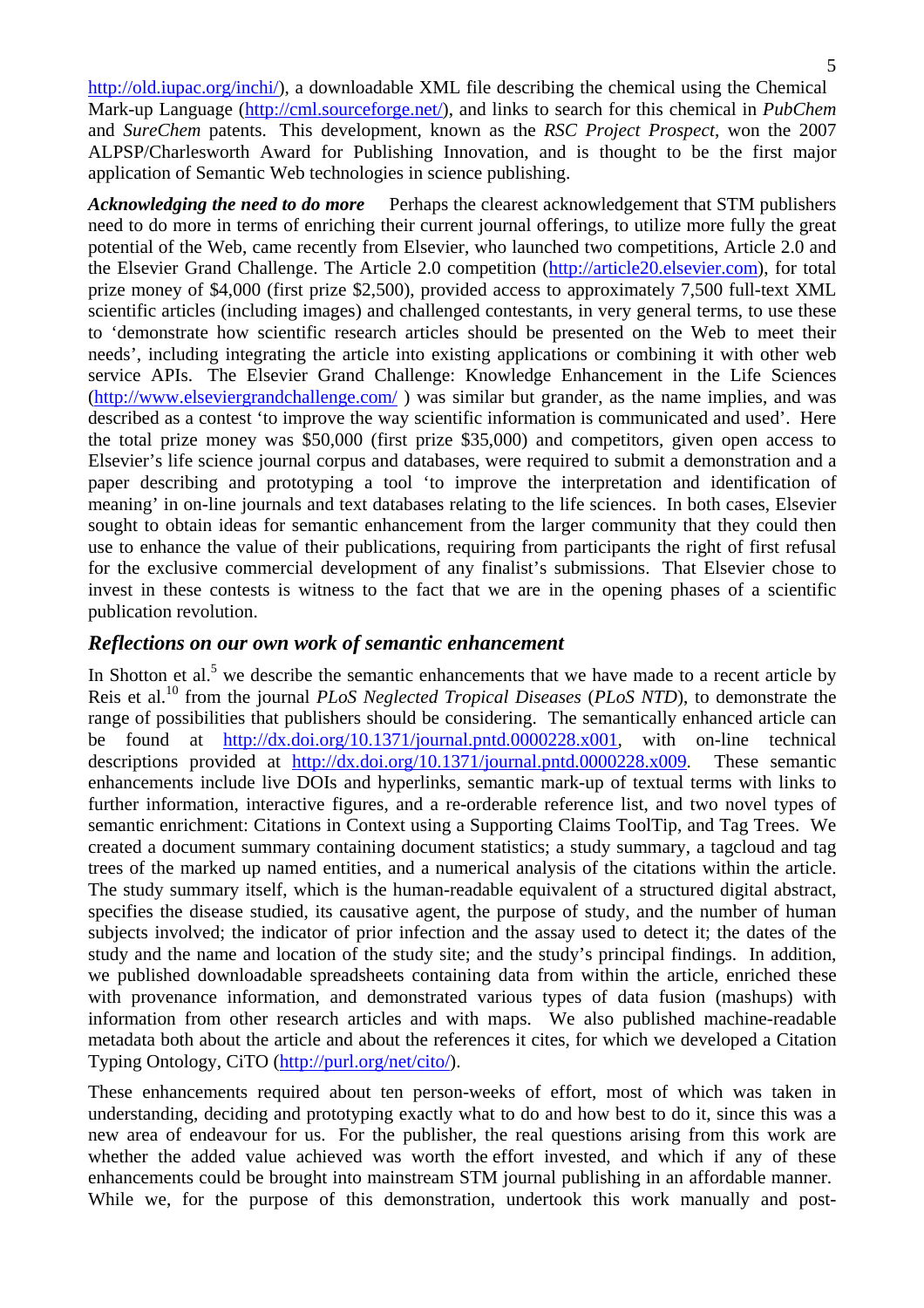http://old.iupac.org/inchi/), a downloadable XML file describing the chemical using the Chemical Mark-up Language (http://cml.sourceforge.net/), and links to search for this chemical in *PubChem* and *SureChem* patents. This development, known as the *RSC Project Prospect*, won the 2007 ALPSP/Charlesworth Award for Publishing Innovation, and is thought to be the first major application of Semantic Web technologies in science publishing.

*Acknowledging the need to do more* Perhaps the clearest acknowledgement that STM publishers need to do more in terms of enriching their current journal offerings, to utilize more fully the great potential of the Web, came recently from Elsevier, who launched two competitions, Article 2.0 and the Elsevier Grand Challenge. The Article 2.0 competition (http://article20.elsevier.com), for total prize money of \$4,000 (first prize \$2,500), provided access to approximately 7,500 full-text XML scientific articles (including images) and challenged contestants, in very general terms, to use these to 'demonstrate how scientific research articles should be presented on the Web to meet their needs', including integrating the article into existing applications or combining it with other web service APIs. The Elsevier Grand Challenge: Knowledge Enhancement in the Life Sciences (http://www.elseviergrandchallenge.com/ ) was similar but grander, as the name implies, and was described as a contest 'to improve the way scientific information is communicated and used'. Here the total prize money was \$50,000 (first prize \$35,000) and competitors, given open access to Elsevier's life science journal corpus and databases, were required to submit a demonstration and a paper describing and prototyping a tool 'to improve the interpretation and identification of meaning' in on-line journals and text databases relating to the life sciences. In both cases, Elsevier sought to obtain ideas for semantic enhancement from the larger community that they could then use to enhance the value of their publications, requiring from participants the right of first refusal for the exclusive commercial development of any finalist's submissions. That Elsevier chose to invest in these contests is witness to the fact that we are in the opening phases of a scientific publication revolution.

#### *Reflections on our own work of semantic enhancement*

In Shotton et al.<sup>5</sup> we describe the semantic enhancements that we have made to a recent article by Reis et al.10 from the journal *PLoS Neglected Tropical Diseases* (*PLoS NTD*), to demonstrate the range of possibilities that publishers should be considering. The semantically enhanced article can be found at http://dx.doi.org/10.1371/journal.pntd.0000228.x001, with on-line technical descriptions provided at http://dx.doi.org/10.1371/journal.pntd.0000228.x009. These semantic enhancements include live DOIs and hyperlinks, semantic mark-up of textual terms with links to further information, interactive figures, and a re-orderable reference list, and two novel types of semantic enrichment: Citations in Context using a Supporting Claims ToolTip, and Tag Trees. We created a document summary containing document statistics; a study summary, a tagcloud and tag trees of the marked up named entities, and a numerical analysis of the citations within the article. The study summary itself, which is the human-readable equivalent of a structured digital abstract, specifies the disease studied, its causative agent, the purpose of study, and the number of human subjects involved; the indicator of prior infection and the assay used to detect it; the dates of the study and the name and location of the study site; and the study's principal findings. In addition, we published downloadable spreadsheets containing data from within the article, enriched these with provenance information, and demonstrated various types of data fusion (mashups) with information from other research articles and with maps. We also published machine-readable metadata both about the article and about the references it cites, for which we developed a Citation Typing Ontology, CiTO (http://purl.org/net/cito/).

These enhancements required about ten person-weeks of effort, most of which was taken in understanding, deciding and prototyping exactly what to do and how best to do it, since this was a new area of endeavour for us. For the publisher, the real questions arising from this work are whether the added value achieved was worth the effort invested, and which if any of these enhancements could be brought into mainstream STM journal publishing in an affordable manner. While we, for the purpose of this demonstration, undertook this work manually and post-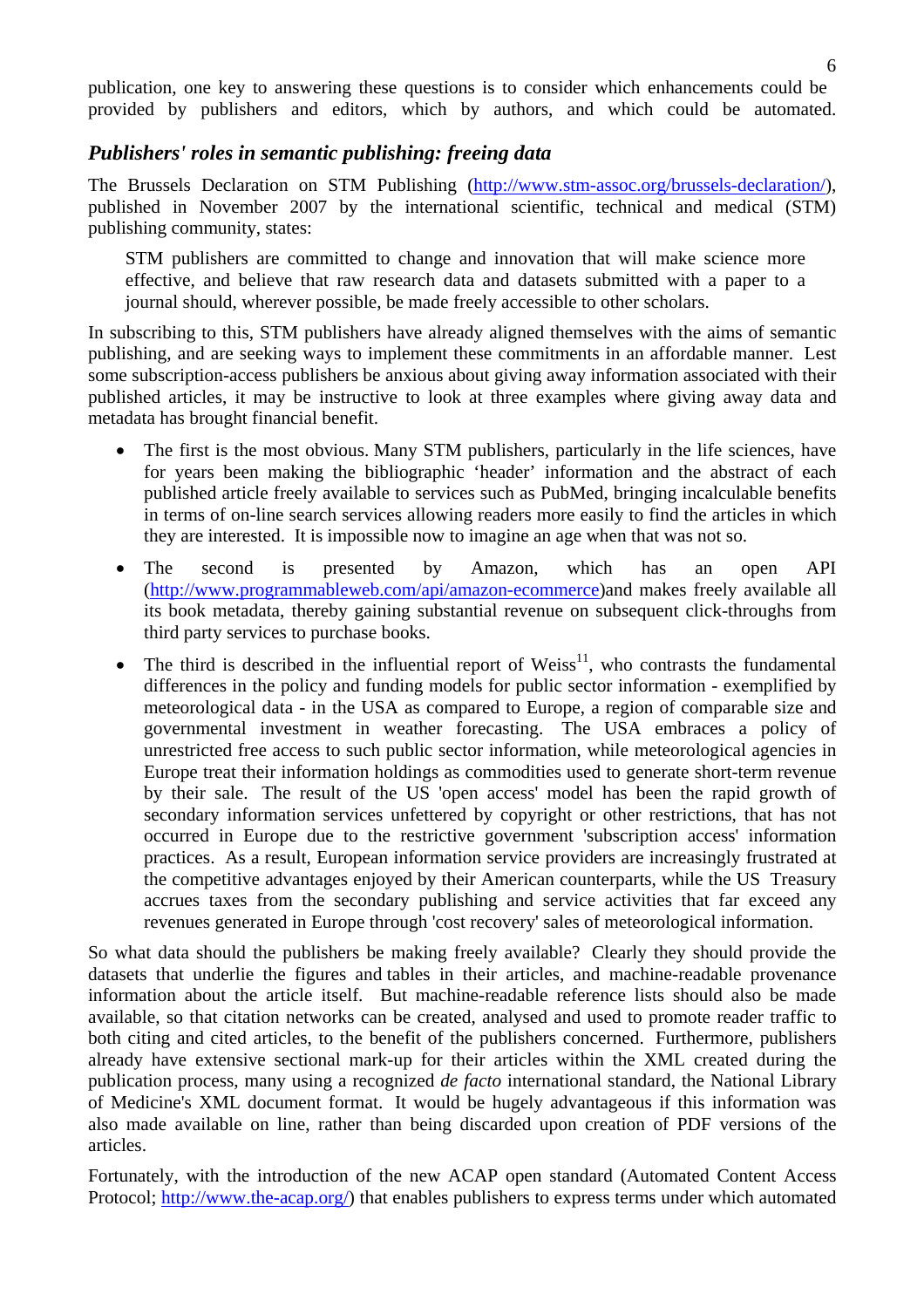publication, one key to answering these questions is to consider which enhancements could be provided by publishers and editors, which by authors, and which could be automated.

#### *Publishers' roles in semantic publishing: freeing data*

The Brussels Declaration on STM Publishing (http://www.stm-assoc.org/brussels-declaration/), published in November 2007 by the international scientific, technical and medical (STM) publishing community, states:

STM publishers are committed to change and innovation that will make science more effective, and believe that raw research data and datasets submitted with a paper to a journal should, wherever possible, be made freely accessible to other scholars.

In subscribing to this, STM publishers have already aligned themselves with the aims of semantic publishing, and are seeking ways to implement these commitments in an affordable manner. Lest some subscription-access publishers be anxious about giving away information associated with their published articles, it may be instructive to look at three examples where giving away data and metadata has brought financial benefit.

- The first is the most obvious. Many STM publishers, particularly in the life sciences, have for years been making the bibliographic 'header' information and the abstract of each published article freely available to services such as PubMed, bringing incalculable benefits in terms of on-line search services allowing readers more easily to find the articles in which they are interested. It is impossible now to imagine an age when that was not so.
- The second is presented by Amazon, which has an open API (http://www.programmableweb.com/api/amazon-ecommerce)and makes freely available all its book metadata, thereby gaining substantial revenue on subsequent click-throughs from third party services to purchase books.
- The third is described in the influential report of Weiss<sup>11</sup>, who contrasts the fundamental differences in the policy and funding models for public sector information - exemplified by meteorological data - in the USA as compared to Europe, a region of comparable size and governmental investment in weather forecasting. The USA embraces a policy of unrestricted free access to such public sector information, while meteorological agencies in Europe treat their information holdings as commodities used to generate short-term revenue by their sale. The result of the US 'open access' model has been the rapid growth of secondary information services unfettered by copyright or other restrictions, that has not occurred in Europe due to the restrictive government 'subscription access' information practices. As a result, European information service providers are increasingly frustrated at the competitive advantages enjoyed by their American counterparts, while the US Treasury accrues taxes from the secondary publishing and service activities that far exceed any revenues generated in Europe through 'cost recovery' sales of meteorological information.

So what data should the publishers be making freely available? Clearly they should provide the datasets that underlie the figures and tables in their articles, and machine-readable provenance information about the article itself. But machine-readable reference lists should also be made available, so that citation networks can be created, analysed and used to promote reader traffic to both citing and cited articles, to the benefit of the publishers concerned. Furthermore, publishers already have extensive sectional mark-up for their articles within the XML created during the publication process, many using a recognized *de facto* international standard, the National Library of Medicine's XML document format. It would be hugely advantageous if this information was also made available on line, rather than being discarded upon creation of PDF versions of the articles.

Fortunately, with the introduction of the new ACAP open standard (Automated Content Access Protocol; http://www.the-acap.org/) that enables publishers to express terms under which automated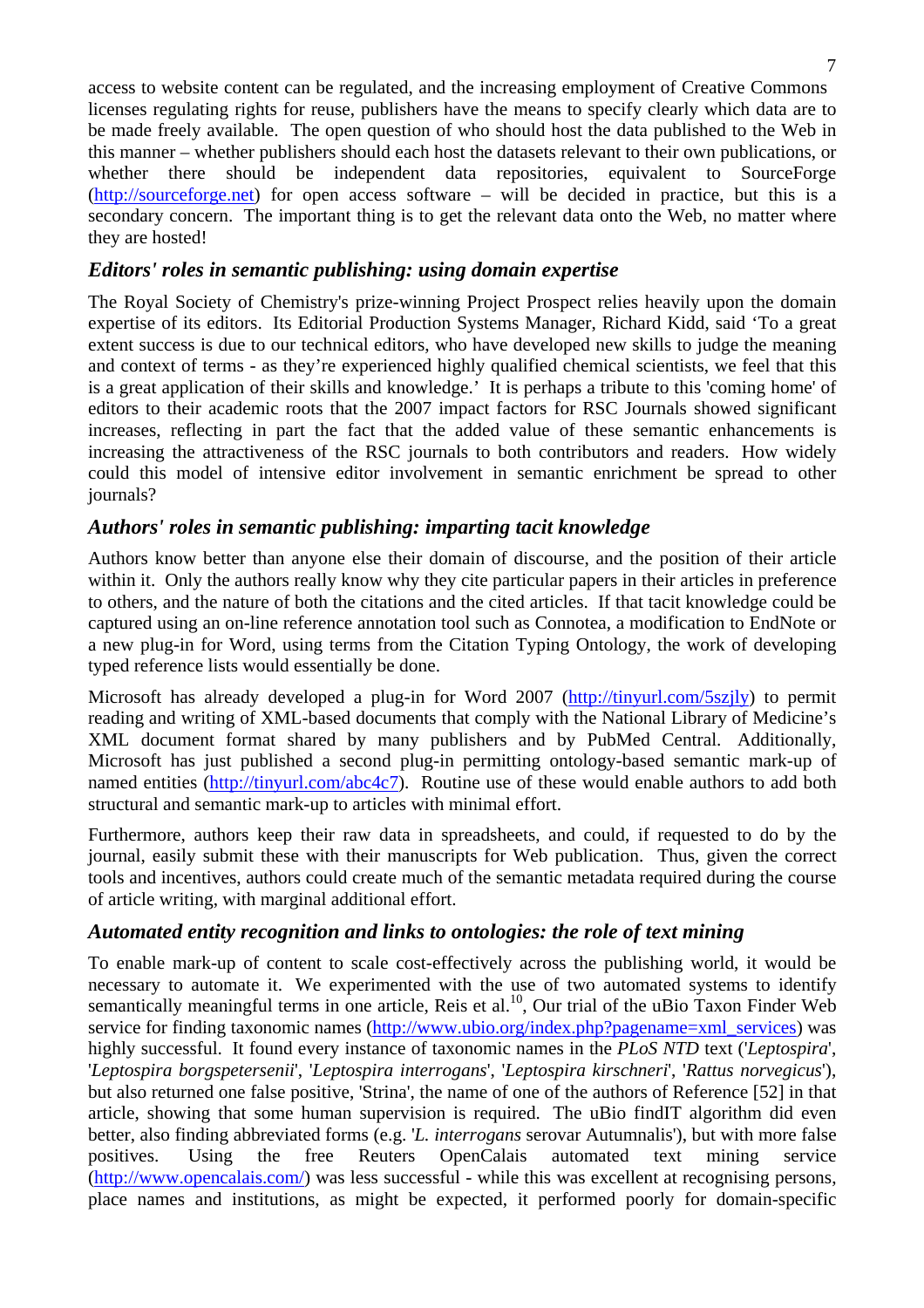access to website content can be regulated, and the increasing employment of Creative Commons licenses regulating rights for reuse, publishers have the means to specify clearly which data are to be made freely available. The open question of who should host the data published to the Web in this manner – whether publishers should each host the datasets relevant to their own publications, or whether there should be independent data repositories, equivalent to SourceForge (http://sourceforge.net) for open access software – will be decided in practice, but this is a secondary concern. The important thing is to get the relevant data onto the Web, no matter where they are hosted!

#### *Editors' roles in semantic publishing: using domain expertise*

The Royal Society of Chemistry's prize-winning Project Prospect relies heavily upon the domain expertise of its editors. Its Editorial Production Systems Manager, Richard Kidd, said 'To a great extent success is due to our technical editors, who have developed new skills to judge the meaning and context of terms - as they're experienced highly qualified chemical scientists, we feel that this is a great application of their skills and knowledge.' It is perhaps a tribute to this 'coming home' of editors to their academic roots that the 2007 impact factors for RSC Journals showed significant increases, reflecting in part the fact that the added value of these semantic enhancements is increasing the attractiveness of the RSC journals to both contributors and readers. How widely could this model of intensive editor involvement in semantic enrichment be spread to other journals?

#### *Authors' roles in semantic publishing: imparting tacit knowledge*

Authors know better than anyone else their domain of discourse, and the position of their article within it. Only the authors really know why they cite particular papers in their articles in preference to others, and the nature of both the citations and the cited articles. If that tacit knowledge could be captured using an on-line reference annotation tool such as Connotea, a modification to EndNote or a new plug-in for Word, using terms from the Citation Typing Ontology, the work of developing typed reference lists would essentially be done.

Microsoft has already developed a plug-in for Word 2007 (http://tinyurl.com/5szjly) to permit reading and writing of XML-based documents that comply with the National Library of Medicine's XML document format shared by many publishers and by PubMed Central. Additionally, Microsoft has just published a second plug-in permitting ontology-based semantic mark-up of named entities (http://tinyurl.com/abc4c7). Routine use of these would enable authors to add both structural and semantic mark-up to articles with minimal effort.

Furthermore, authors keep their raw data in spreadsheets, and could, if requested to do by the journal, easily submit these with their manuscripts for Web publication. Thus, given the correct tools and incentives, authors could create much of the semantic metadata required during the course of article writing, with marginal additional effort.

#### *Automated entity recognition and links to ontologies: the role of text mining*

To enable mark-up of content to scale cost-effectively across the publishing world, it would be necessary to automate it. We experimented with the use of two automated systems to identify semantically meaningful terms in one article, Reis et al.<sup>10</sup>, Our trial of the uBio Taxon Finder Web service for finding taxonomic names (http://www.ubio.org/index.php?pagename=xml\_services) was highly successful. It found every instance of taxonomic names in the *PLoS NTD* text ('*Leptospira*', '*Leptospira borgspetersenii*', '*Leptospira interrogans*', '*Leptospira kirschneri*', '*Rattus norvegicus*'), but also returned one false positive, 'Strina', the name of one of the authors of Reference [52] in that article, showing that some human supervision is required. The uBio findIT algorithm did even better, also finding abbreviated forms (e.g. '*L. interrogans* serovar Autumnalis'), but with more false positives. Using the free Reuters OpenCalais automated text mining service (http://www.opencalais.com/) was less successful - while this was excellent at recognising persons, place names and institutions, as might be expected, it performed poorly for domain-specific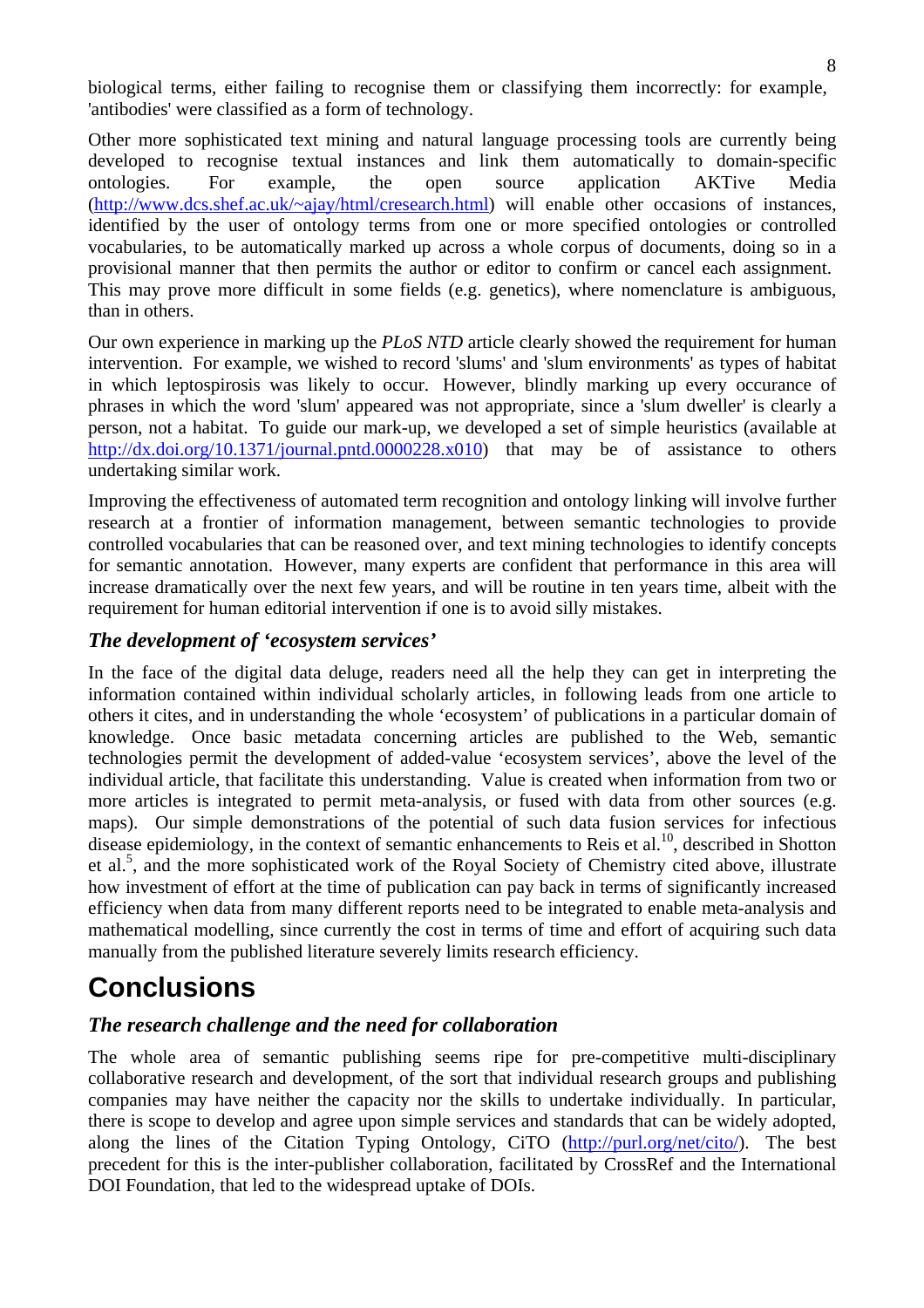biological terms, either failing to recognise them or classifying them incorrectly: for example, 'antibodies' were classified as a form of technology.

Other more sophisticated text mining and natural language processing tools are currently being developed to recognise textual instances and link them automatically to domain-specific ontologies. For example, the open source application AKTive Media (http://www.dcs.shef.ac.uk/~ajay/html/cresearch.html) will enable other occasions of instances, identified by the user of ontology terms from one or more specified ontologies or controlled vocabularies, to be automatically marked up across a whole corpus of documents, doing so in a provisional manner that then permits the author or editor to confirm or cancel each assignment. This may prove more difficult in some fields (e.g. genetics), where nomenclature is ambiguous, than in others.

Our own experience in marking up the *PLoS NTD* article clearly showed the requirement for human intervention. For example, we wished to record 'slums' and 'slum environments' as types of habitat in which leptospirosis was likely to occur. However, blindly marking up every occurance of phrases in which the word 'slum' appeared was not appropriate, since a 'slum dweller' is clearly a person, not a habitat. To guide our mark-up, we developed a set of simple heuristics (available at http://dx.doi.org/10.1371/journal.pntd.0000228.x010) that may be of assistance to others undertaking similar work.

Improving the effectiveness of automated term recognition and ontology linking will involve further research at a frontier of information management, between semantic technologies to provide controlled vocabularies that can be reasoned over, and text mining technologies to identify concepts for semantic annotation. However, many experts are confident that performance in this area will increase dramatically over the next few years, and will be routine in ten years time, albeit with the requirement for human editorial intervention if one is to avoid silly mistakes.

### *The development of 'ecosystem services'*

In the face of the digital data deluge, readers need all the help they can get in interpreting the information contained within individual scholarly articles, in following leads from one article to others it cites, and in understanding the whole 'ecosystem' of publications in a particular domain of knowledge. Once basic metadata concerning articles are published to the Web, semantic technologies permit the development of added-value 'ecosystem services', above the level of the individual article, that facilitate this understanding. Value is created when information from two or more articles is integrated to permit meta-analysis, or fused with data from other sources (e.g. maps). Our simple demonstrations of the potential of such data fusion services for infectious disease epidemiology, in the context of semantic enhancements to Reis et al.<sup>10</sup>, described in Shotton et al.<sup>5</sup>, and the more sophisticated work of the Royal Society of Chemistry cited above, illustrate how investment of effort at the time of publication can pay back in terms of significantly increased efficiency when data from many different reports need to be integrated to enable meta-analysis and mathematical modelling, since currently the cost in terms of time and effort of acquiring such data manually from the published literature severely limits research efficiency.

# **Conclusions**

### *The research challenge and the need for collaboration*

The whole area of semantic publishing seems ripe for pre-competitive multi-disciplinary collaborative research and development, of the sort that individual research groups and publishing companies may have neither the capacity nor the skills to undertake individually. In particular, there is scope to develop and agree upon simple services and standards that can be widely adopted, along the lines of the Citation Typing Ontology, CiTO (http://purl.org/net/cito/). The best precedent for this is the inter-publisher collaboration, facilitated by CrossRef and the International DOI Foundation, that led to the widespread uptake of DOIs.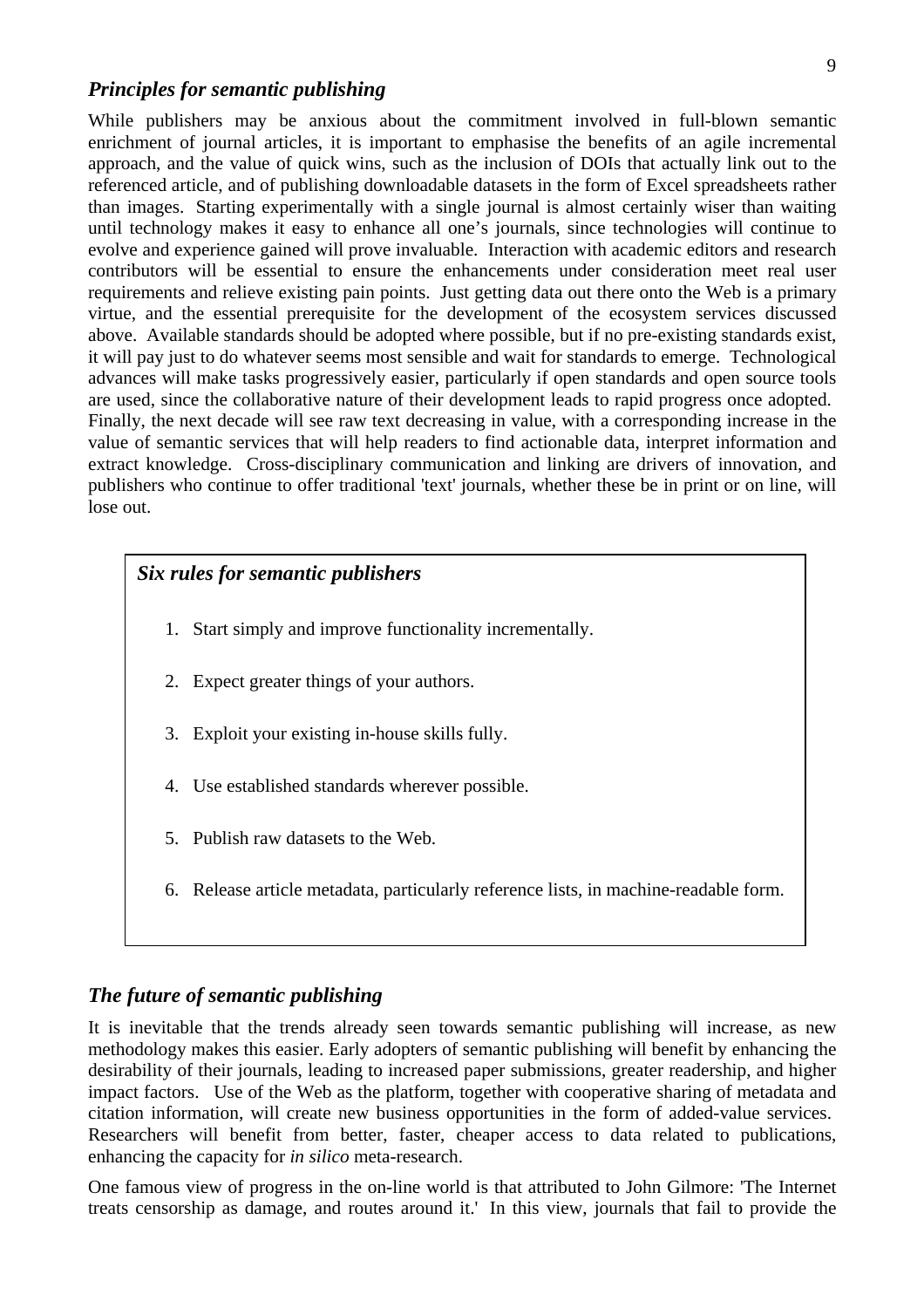#### *Principles for semantic publishing*

While publishers may be anxious about the commitment involved in full-blown semantic enrichment of journal articles, it is important to emphasise the benefits of an agile incremental approach, and the value of quick wins, such as the inclusion of DOIs that actually link out to the referenced article, and of publishing downloadable datasets in the form of Excel spreadsheets rather than images. Starting experimentally with a single journal is almost certainly wiser than waiting until technology makes it easy to enhance all one's journals, since technologies will continue to evolve and experience gained will prove invaluable. Interaction with academic editors and research contributors will be essential to ensure the enhancements under consideration meet real user requirements and relieve existing pain points. Just getting data out there onto the Web is a primary virtue, and the essential prerequisite for the development of the ecosystem services discussed above. Available standards should be adopted where possible, but if no pre-existing standards exist, it will pay just to do whatever seems most sensible and wait for standards to emerge. Technological advances will make tasks progressively easier, particularly if open standards and open source tools are used, since the collaborative nature of their development leads to rapid progress once adopted. Finally, the next decade will see raw text decreasing in value, with a corresponding increase in the value of semantic services that will help readers to find actionable data, interpret information and extract knowledge. Cross-disciplinary communication and linking are drivers of innovation, and publishers who continue to offer traditional 'text' journals, whether these be in print or on line, will lose out.

### *Six rules for semantic publishers*

- 1. Start simply and improve functionality incrementally.
- 2. Expect greater things of your authors.
- 3. Exploit your existing in-house skills fully.
- 4. Use established standards wherever possible.
- 5. Publish raw datasets to the Web.
- 6. Release article metadata, particularly reference lists, in machine-readable form.

### *The future of semantic publishing*

It is inevitable that the trends already seen towards semantic publishing will increase, as new methodology makes this easier. Early adopters of semantic publishing will benefit by enhancing the desirability of their journals, leading to increased paper submissions, greater readership, and higher impact factors. Use of the Web as the platform, together with cooperative sharing of metadata and citation information, will create new business opportunities in the form of added-value services. Researchers will benefit from better, faster, cheaper access to data related to publications, enhancing the capacity for *in silico* meta-research.

One famous view of progress in the on-line world is that attributed to John Gilmore: 'The Internet treats censorship as damage, and routes around it.'In this view, journals that fail to provide the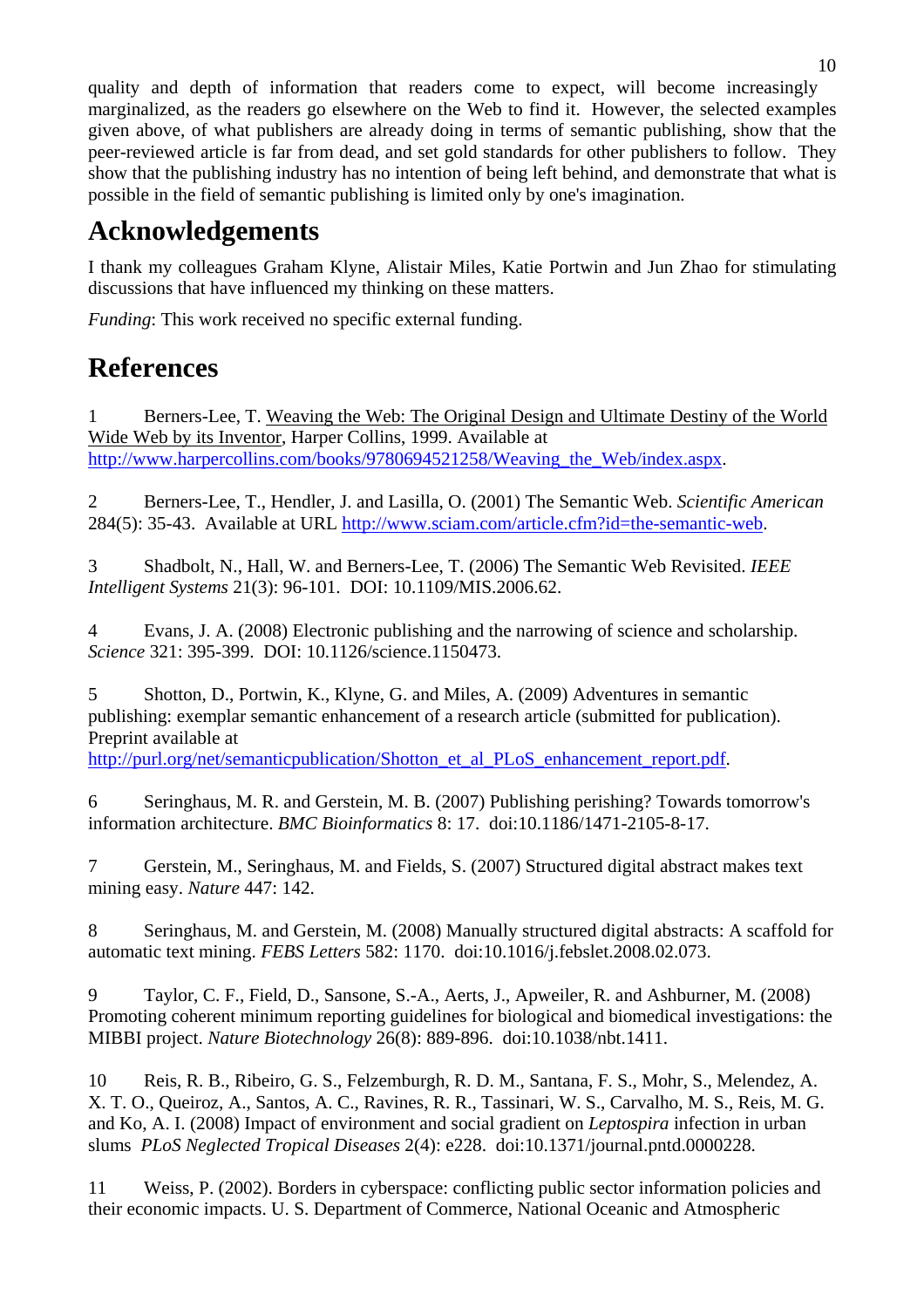quality and depth of information that readers come to expect, will become increasingly marginalized, as the readers go elsewhere on the Web to find it. However, the selected examples given above, of what publishers are already doing in terms of semantic publishing, show that the peer-reviewed article is far from dead, and set gold standards for other publishers to follow. They show that the publishing industry has no intention of being left behind, and demonstrate that what is possible in the field of semantic publishing is limited only by one's imagination.

# **Acknowledgements**

I thank my colleagues Graham Klyne, Alistair Miles, Katie Portwin and Jun Zhao for stimulating discussions that have influenced my thinking on these matters.

*Funding*: This work received no specific external funding.

# **References**

1 Berners-Lee, T. Weaving the Web: The Original Design and Ultimate Destiny of the World Wide Web by its Inventor, Harper Collins, 1999. Available at http://www.harpercollins.com/books/9780694521258/Weaving the Web/index.aspx.

2 Berners-Lee, T., Hendler, J. and Lasilla, O. (2001) The Semantic Web. *Scientific American* 284(5): 35-43. Available at URL http://www.sciam.com/article.cfm?id=the-semantic-web.

3 Shadbolt, N., Hall, W. and Berners-Lee, T. (2006) The Semantic Web Revisited. *IEEE Intelligent Systems* 21(3): 96-101. DOI: 10.1109/MIS.2006.62.

4 Evans, J. A. (2008) Electronic publishing and the narrowing of science and scholarship. *Science* 321: 395-399. DOI: 10.1126/science.1150473.

5 Shotton, D., Portwin, K., Klyne, G. and Miles, A. (2009) Adventures in semantic publishing: exemplar semantic enhancement of a research article (submitted for publication). Preprint available at

http://purl.org/net/semanticpublication/Shotton et al PLoS enhancement report.pdf.

6 Seringhaus, M. R. and Gerstein, M. B. (2007) Publishing perishing? Towards tomorrow's information architecture. *BMC Bioinformatics* 8: 17. doi:10.1186/1471-2105-8-17.

7 Gerstein, M., Seringhaus, M. and Fields, S. (2007) Structured digital abstract makes text mining easy. *Nature* 447: 142.

8 Seringhaus, M. and Gerstein, M. (2008) Manually structured digital abstracts: A scaffold for automatic text mining. *FEBS Letters* 582: 1170. doi:10.1016/j.febslet.2008.02.073.

9 Taylor, C. F., Field, D., Sansone, S.-A., Aerts, J., Apweiler, R. and Ashburner, M. (2008) Promoting coherent minimum reporting guidelines for biological and biomedical investigations: the MIBBI project. *Nature Biotechnology* 26(8): 889-896. doi:10.1038/nbt.1411.

10 Reis, R. B., Ribeiro, G. S., Felzemburgh, R. D. M., Santana, F. S., Mohr, S., Melendez, A. X. T. O., Queiroz, A., Santos, A. C., Ravines, R. R., Tassinari, W. S., Carvalho, M. S., Reis, M. G. and Ko, A. I. (2008) Impact of environment and social gradient on *Leptospira* infection in urban slums *PLoS Neglected Tropical Diseases* 2(4): e228. doi:10.1371/journal.pntd.0000228.

11 Weiss, P. (2002). Borders in cyberspace: conflicting public sector information policies and their economic impacts. U. S. Department of Commerce, National Oceanic and Atmospheric